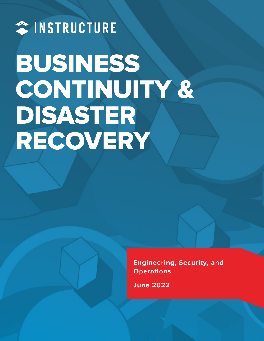# \* INSTRUCTURE BUSINESS CONTINUITY & DISASTER RECOVERY

**Engineering, Security, and Operations**

**June 2022**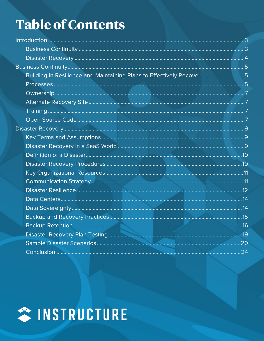## **Table of Contents**

| Building in Resilience and Maintaining Plans to Effectively Recover 5 |  |
|-----------------------------------------------------------------------|--|
|                                                                       |  |
|                                                                       |  |
|                                                                       |  |
|                                                                       |  |
|                                                                       |  |
|                                                                       |  |
|                                                                       |  |
|                                                                       |  |
|                                                                       |  |
|                                                                       |  |
|                                                                       |  |
|                                                                       |  |
|                                                                       |  |
|                                                                       |  |
|                                                                       |  |
|                                                                       |  |
|                                                                       |  |
|                                                                       |  |
|                                                                       |  |
|                                                                       |  |

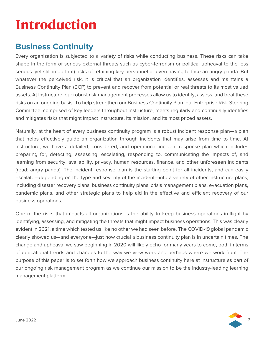## <span id="page-2-0"></span>**[Introducti](#page-19-0)on**

## <span id="page-2-1"></span>**Business Continuity**

Every organization is subjected to a variety of risks while conducting business. These risks can take shape in the form of serious external threats such as cyber-terrorism or political upheaval to the less serious (yet still important) risks of retaining key personnel or even having to face an angry panda. But whatever the perceived risk, it is critical that an organization identifies, assesses and maintains a Business Continuity Plan (BCP) to prevent and recover from potential or real threats to its most valued assets. At Instructure, our robust risk management processes allow us to identify, assess, and treat these risks on an ongoing basis. To help strengthen our Business Continuity Plan, our Enterprise Risk Steering Committee, comprised of key leaders throughout Instructure, meets regularly and continually identifies and mitigates risks that might impact Instructure, its mission, and its most prized assets.

Naturally, at the heart of every business continuity program is a robust incident response plan—a plan that helps effectively guide an organization through incidents that may arise from time to time. At Instructure, we have a detailed, considered, and operational incident response plan which includes preparing for, detecting, assessing, escalating, responding to, communicating the impacts of, and learning from security, availability, privacy, human resources, finance, and other unforeseen incidents (read: angry panda). The incident response plan is the starting point for all incidents, and can easily escalate—depending on the type and severity of the incident—into a variety of other Instructure plans, including disaster recovery plans, business continuity plans, crisis management plans, evacuation plans, pandemic plans, and other strategic plans to help aid in the effective and efficient recovery of our business operations.

One of the risks that impacts all organizations is the ability to keep business operations in-flight by identifying, assessing, and mitigating the threats that might impact business operations. This was clearly evident in 2021, a time which tested us like no other we had seen before. The COVID-19 global pandemic clearly showed us—and everyone—just how crucial a business continuity plan is in uncertain times. The change and upheaval we saw beginning in 2020 will likely echo for many years to come, both in terms of educational trends and changes to the way we view work and perhaps where we work from. The purpose of this paper is to set forth how we approach business continuity here at Instructure as part of our ongoing risk management program as we continue our mission to be the industry-leading learning management platform.

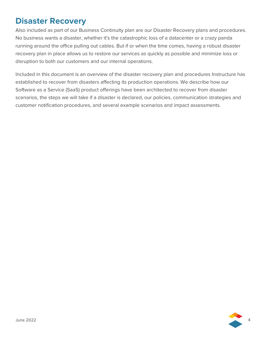## <span id="page-3-0"></span>**Disaster Recovery**

Also included as part of our Business Continuity plan are our Disaster Recovery plans and procedures. No business wants a disaster, whether it's the catastrophic loss of a datacenter or a crazy panda running around the office pulling out cables. But if or when the time comes, having a robust disaster recovery plan in place allows us to restore our services as quickly as possible and minimize loss or disruption to both our customers and our internal operations.

Included in this document is an overview of the disaster recovery plan and procedures Instructure has established to recover from disasters affecting its production operations. We describe how our Software as a Service (SaaS) product offerings have been architected to recover from disaster scenarios, the steps we will take if a disaster is declared, our policies, communication strategies and customer notification procedures, and several example scenarios and impact assessments.

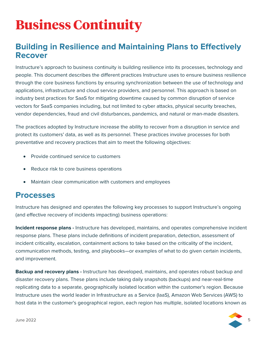## <span id="page-4-0"></span>**Business Continuity**

## <span id="page-4-1"></span>**Building in Resilience and Maintaining Plans to Effectively Recover**

Instructure's approach to business continuity is building resilience into its processes, technology and people. This document describes the different practices Instructure uses to ensure business resilience through the core business functions by ensuring synchronization between the use of technology and applications, infrastructure and cloud service providers, and personnel. This approach is based on industry best practices for SaaS for mitigating downtime caused by common disruption of service vectors for SaaS companies including, but not limited to cyber attacks, physical security breaches, vendor dependencies, fraud and civil disturbances, pandemics, and natural or man-made disasters.

The practices adopted by Instructure increase the ability to recover from a disruption in service and protect its customers' data, as well as its personnel. These practices involve processes for both preventative and recovery practices that aim to meet the following objectives:

- Provide continued service to customers
- Reduce risk to core business operations
- <span id="page-4-2"></span>• Maintain clear communication with customers and employees

### **Processes**

Instructure has designed and operates the following key processes to support Instructure's ongoing (and effective recovery of incidents impacting) business operations:

**Incident response plans -** Instructure has developed, maintains, and operates comprehensive incident response plans. These plans include definitions of incident preparation, detection, assessment of incident criticality, escalation, containment actions to take based on the criticality of the incident, communication methods, testing, and playbooks—or examples of what to do given certain incidents, and improvement.

**Backup and recovery plans -** Instructure has developed, maintains, and operates robust backup and disaster recovery plans. These plans include taking daily snapshots (backups) and near-real-time replicating data to a separate, geographically isolated location within the customer's region. Because Instructure uses the world leader in Infrastructure as a Service (IaaS), Amazon Web Services (AWS) to host data in the customer's geographical region, each region has multiple, isolated locations known as

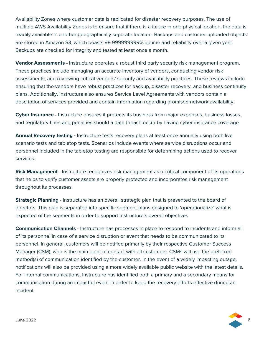Availability Zones where customer data is replicated for disaster recovery purposes. The use of multiple AWS Availability Zones is to ensure that if there is a failure in one physical location, the data is readily available in another geographically separate location. Backups and customer-uploaded objects are stored in Amazon S3, which boasts 99.999999999% uptime and reliability over a given year. Backups are checked for integrity and tested at least once a month.

**Vendor Assessments -** Instructure operates a robust third party security risk management program. These practices include managing an accurate inventory of vendors, conducting vendor risk assessments, and reviewing critical vendors' security and availability practices. These reviews include ensuring that the vendors have robust practices for backup, disaster recovery, and business continuity plans. Additionally, Instructure also ensures Service Level Agreements with vendors contain a description of services provided and contain information regarding promised network availability.

**Cyber Insurance -** Instructure ensures it protects its business from major expenses, business losses, and regulatory fines and penalties should a data breach occur by having cyber insurance coverage.

**Annual Recovery testing -** Instructure tests recovery plans at least once annually using both live scenario tests and tabletop tests. Scenarios include events where service disruptions occur and personnel included in the tabletop testing are responsible for determining actions used to recover services.

**Risk Management** - Instructure recognizes risk management as a critical component of its operations that helps to verify customer assets are properly protected and incorporates risk management throughout its processes.

**Strategic Planning** - Instructure has an overall strategic plan that is presented to the board of directors. This plan is separated into specific segment plans designed to 'operationalize' what is expected of the segments in order to support Instructure's overall objectives.

**Communication Channels** - Instructure has processes in place to respond to incidents and inform all of its personnel in case of a service disruption or event that needs to be communicated to its personnel. In general, customers will be notified primarily by their respective Customer Success Manager (CSM), who is the main point of contact with all customers. CSMs will use the preferred method(s) of communication identified by the customer. In the event of a widely impacting outage, notifications will also be provided using a more widely available public website with the latest details. For internal communications, Instructure has identified both a primary and a secondary means for communication during an impactful event in order to keep the recovery efforts effective during an incident.

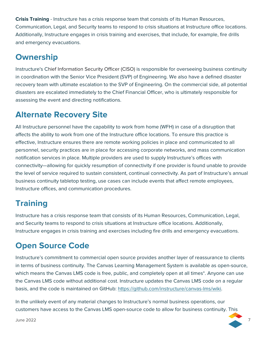**Crisis Training** - Instructure has a crisis response team that consists of its Human Resources, Communication, Legal, and Security teams to respond to crisis situations at Instructure office locations. Additionally, Instructure engages in crisis training and exercises, that include, for example, fire drills and emergency evacuations.

## <span id="page-6-0"></span>**Ownership**

Instructure's Chief Information Security Officer (CISO) is responsible for overseeing business continuity in coordination with the Senior Vice President (SVP) of Engineering. We also have a defined disaster recovery team with ultimate escalation to the SVP of Engineering. On the commercial side, all potential disasters are escalated immediately to the Chief Financial Officer, who is ultimately responsible for assessing the event and directing notifications.

## <span id="page-6-1"></span>**Alternate Recovery Site**

All Instructure personnel have the capability to work from home (WFH) in case of a disruption that affects the ability to work from one of the Instructure office locations. To ensure this practice is effective, Instructure ensures there are remote working policies in place and communicated to all personnel, security practices are in place for accessing corporate networks, and mass communication notification services in place. Multiple providers are used to supply Instructure's offices with connectivity—allowing for quickly resumption of connectivity if one provider is found unable to provide the level of service required to sustain consistent, continual connectivity. As part of Instructure's annual business continuity tabletop testing, use cases can include events that affect remote employees, Instructure offices, and communication procedures.

## <span id="page-6-2"></span>**Training**

Instructure has a crisis response team that consists of its Human Resources, Communication, Legal, and Security teams to respond to crisis situations at Instructure office locations. Additionally, Instructure engages in crisis training and exercises including fire drills and emergency evacuations.

## <span id="page-6-3"></span>**Open Source Code**

Instructure's commitment to commercial open source provides another layer of reassurance to clients in terms of business continuity. The Canvas Learning Management System is available as open-source, which means the Canvas LMS code is free, public, and completely open at all times\*. Anyone can use the Canvas LMS code without additional cost. Instructure updates the Canvas LMS code on a regular basis, and the code is maintained on GitHub:<https://github.com/instructure/canvas-lms/wiki>.

In the unlikely event of any material changes to Instructure's normal business operations, our customers have access to the Canvas LMS open-source code to allow for business continuity. This

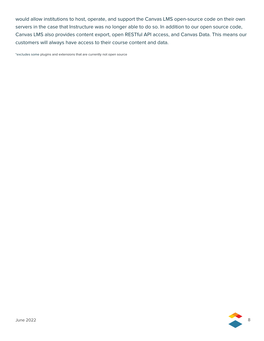would allow institutions to host, operate, and support the Canvas LMS open-source code on their own servers in the case that Instructure was no longer able to do so. In addition to our open source code, Canvas LMS also provides content export, open RESTful API access, and Canvas Data. This means our customers will always have access to their course content and data.

\*excludes some plugins and extensions that are currently not open source

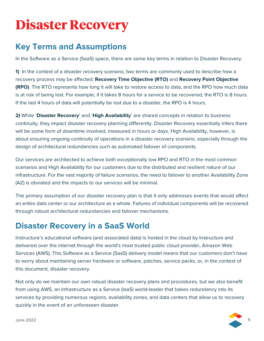## <span id="page-8-0"></span>**Disaster Recovery**

## <span id="page-8-1"></span>**Key Terms and Assumptions**

In the Software as a Service (SaaS) space, there are some key terms in relation to Disaster Recovery.

**1)** In the context of a disaster recovery scenario, two terms are commonly used to describe how a recovery process may be affected: **Recovery Time Objective (RTO)** and **Recovery Point Objective (RPO)**. The RTO represents how long it will take to restore access to data, and the RPO how much data is at risk of being lost. For example, if it takes 8 hours for a service to be recovered, the RTO is 8 hours. If the last 4 hours of data will potentially be lost due to a disaster, the RPO is 4 hours.

**2)** While '**Disaster Recovery**' and '**High Availability**' are shared concepts in relation to business continuity, they impact disaster recovery planning differently. Disaster Recovery essentially infers there will be some form of downtime involved, measured in hours or days. High Availability, however, is about ensuring ongoing continuity of operations in a disaster recovery scenario, especially through the design of architectural redundancies such as automated failover of components.

Our services are architected to achieve both exceptionally low RPO and RTO in the most common scenarios and High Availability for our customers due to the distributed and resilient nature of our infrastructure. For the vast majority of failure scenarios, the need to failover to another Availability Zone (AZ) is obviated and the impacts to our services will be minimal.

The primary assumption of our disaster recovery plan is that it only addresses events that would affect an entire data center or our architecture as a whole. Failures of individual components will be recovered through robust architectural redundancies and failover mechanisms.

## <span id="page-8-2"></span>**Disaster Recovery in a SaaS World**

Instructure's educational software (and associated data) is hosted in the cloud by Instructure and delivered over the internet through the world's most trusted public cloud provider, Amazon Web Services (AWS). This Software as a Service (SaaS) delivery model means that our customers don't have to worry about maintaining server hardware or software, patches, service packs, or, in the context of this document, disaster recovery.

Not only do we maintain our own robust disaster recovery plans and procedures, but we also benefit from using AWS, an Infrastructure as a Service (IaaS) world-leader that bakes redundancy into its services by providing numerous regions, availability zones, and data centers that allow us to recovery quickly in the event of an unforeseen disaster.

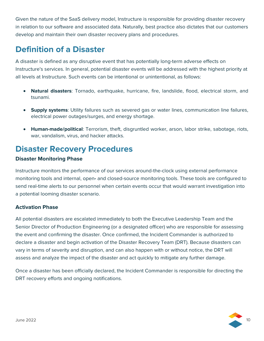Given the nature of the SaaS delivery model, Instructure is responsible for providing disaster recovery in relation to our software and associated data. Naturally, best practice also dictates that our customers develop and maintain their own disaster recovery plans and procedures.

## <span id="page-9-0"></span>**Definition of a Disaster**

A disaster is defined as any disruptive event that has potentially long-term adverse effects on Instructure's services. In general, potential disaster events will be addressed with the highest priority at all levels at Instructure. Such events can be intentional or unintentional, as follows:

- **Natural disasters**: Tornado, earthquake, hurricane, fire, landslide, flood, electrical storm, and tsunami.
- **Supply systems**: Utility failures such as severed gas or water lines, communication line failures, electrical power outages/surges, and energy shortage.
- <span id="page-9-1"></span>• **Human-made/political**: Terrorism, theft, disgruntled worker, arson, labor strike, sabotage, riots, war, vandalism, virus, and hacker attacks.

## **Disaster Recovery Procedures**

#### **Disaster Monitoring Phase**

Instructure monitors the performance of our services around-the-clock using external performance monitoring tools and internal, open**-** and closed-source monitoring tools. These tools are configured to send real-time alerts to our personnel when certain events occur that would warrant investigation into a potential looming disaster scenario.

#### **Activation Phase**

All potential disasters are escalated immediately to both the Executive Leadership Team and the Senior Director of Production Engineering (or a designated officer) who are responsible for assessing the event and confirming the disaster. Once confirmed, the Incident Commander is authorized to declare a disaster and begin activation of the Disaster Recovery Team (DRT). Because disasters can vary in terms of severity and disruption, and can also happen with or without notice, the DRT will assess and analyze the impact of the disaster and act quickly to mitigate any further damage.

Once a disaster has been officially declared, the Incident Commander is responsible for directing the DRT recovery efforts and ongoing notifications.

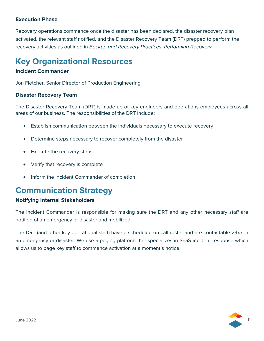#### **Execution Phase**

Recovery operations commence once the disaster has been declared, the disaster recovery plan activated, the relevant staff notified, and the Disaster Recovery Team (DRT) prepped to perform the recovery activities as outlined in *Backup and Recovery Practices, Performing Recovery*.

## <span id="page-10-0"></span>**Key Organizational Resources**

#### **Incident Commander**

Jon Fletcher, Senior Director of Production Engineering

#### **Disaster Recovery Team**

The Disaster Recovery Team (DRT) is made up of key engineers and operations employees across all areas of our business. The responsibilities of the DRT include:

- Establish communication between the individuals necessary to execute recovery
- Determine steps necessary to recover completely from the disaster
- Execute the recovery steps
- Verify that recovery is complete
- <span id="page-10-1"></span>• Inform the Incident Commander of completion

## **Communication Strategy**

#### **Notifying Internal Stakeholders**

The Incident Commander is responsible for making sure the DRT and any other necessary staff are notified of an emergency or disaster and mobilized.

The DRT (and other key operational staff) have a scheduled on-call roster and are contactable 24x7 in an emergency or disaster. We use a paging platform that specializes in SaaS incident response which allows us to page key staff to commence activation at a moment's notice.

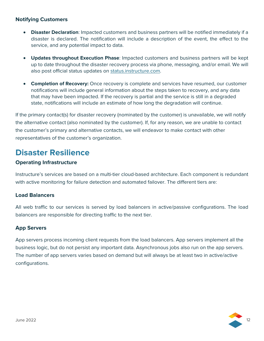#### **Notifying Customers**

- **Disaster Declaration**: Impacted customers and business partners will be notified immediately if a disaster is declared. The notification will include a description of the event, the effect to the service, and any potential impact to data.
- **Updates throughout Execution Phase**: Impacted customers and business partners will be kept up to date throughout the disaster recovery process via phone, messaging, and/or email. We will also post official status updates on [status.instructure.com](https://status.instructure.com/).
- **Completion of Recovery:** Once recovery is complete and services have resumed, our customer notifications will include general information about the steps taken to recovery, and any data that may have been impacted. If the recovery is partial and the service is still in a degraded state, notifications will include an estimate of how long the degradation will continue.

If the primary contact(s) for disaster recovery (nominated by the customer) is unavailable, we will notify the alternative contact (also nominated by the customer). If, for any reason, we are unable to contact the customer's primary and alternative contacts, we will endeavor to make contact with other representatives of the customer's organization.

## <span id="page-11-0"></span>**Disaster Resilience**

#### **Operating Infrastructure**

Instructure's services are based on a multi-tier cloud-based architecture. Each component is redundant with active monitoring for failure detection and automated failover. The different tiers are:

#### **Load Balancers**

All web traffic to our services is served by load balancers in active/passive configurations. The load balancers are responsible for directing traffic to the next tier.

#### **App Servers**

App servers process incoming client requests from the load balancers. App servers implement all the business logic, but do not persist any important data. Asynchronous jobs also run on the app servers. The number of app servers varies based on demand but will always be at least two in active/active configurations.

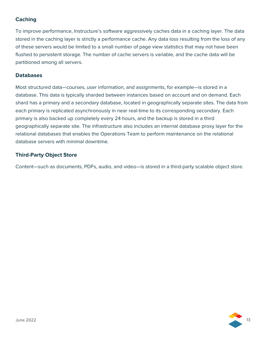#### **Caching**

To improve performance, Instructure's software aggressively caches data in a caching layer. The data stored in the caching layer is strictly a performance cache. Any data loss resulting from the loss of any of these servers would be limited to a small number of page view statistics that may not have been flushed to persistent storage. The number of cache servers is variable, and the cache data will be partitioned among all servers.

#### **Databases**

Most structured data—courses, user information, and assignments, for example—is stored in a database. This data is typically sharded between instances based on account and on demand. Each shard has a primary and a secondary database, located in geographically separate sites. The data from each primary is replicated asynchronously in near real-time to its corresponding secondary. Each primary is also backed up completely every 24 hours, and the backup is stored in a third geographically separate site. The infrastructure also includes an internal database proxy layer for the relational databases that enables the Operations Team to perform maintenance on the relational database servers with minimal downtime.

#### **Third-Party Object Store**

Content—such as documents, PDFs, audio, and video—is stored in a third-party scalable object store.

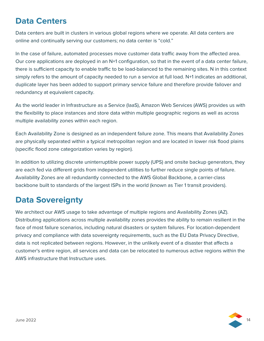## <span id="page-13-0"></span>**Data Centers**

Data centers are built in clusters in various global regions where we operate. All data centers are online and continually serving our customers; no data center is "cold."

In the case of failure, automated processes move customer data traffic away from the affected area. Our core applications are deployed in an N+1 configuration, so that in the event of a data center failure, there is sufficient capacity to enable traffic to be load-balanced to the remaining sites. N in this context simply refers to the amount of capacity needed to run a service at full load. N+1 indicates an additional, duplicate layer has been added to support primary service failure and therefore provide failover and redundancy at equivalent capacity.

As the world leader in Infrastructure as a Service (IaaS), Amazon Web Services (AWS) provides us with the flexibility to place instances and store data within multiple geographic regions as well as across multiple availability zones within each region.

Each Availability Zone is designed as an independent failure zone. This means that Availability Zones are physically separated within a typical metropolitan region and are located in lower risk flood plains (specific flood zone categorization varies by region).

In addition to utilizing discrete uninterruptible power supply (UPS) and onsite backup generators, they are each fed via different grids from independent utilities to further reduce single points of failure. Availability Zones are all redundantly connected to the AWS Global Backbone, a carrier-class backbone built to standards of the largest ISPs in the world (known as Tier 1 transit providers).

## <span id="page-13-1"></span>**Data Sovereignty**

We architect our AWS usage to take advantage of multiple regions and Availability Zones (AZ). Distributing applications across multiple availability zones provides the ability to remain resilient in the face of most failure scenarios, including natural disasters or system failures. For location-dependent privacy and compliance with data sovereignty requirements, such as the EU Data Privacy Directive, data is not replicated between regions. However, in the unlikely event of a disaster that affects a customer's entire region, all services and data can be relocated to numerous active regions within the AWS infrastructure that Instructure uses.

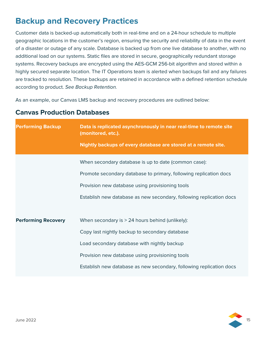## <span id="page-14-0"></span>**Backup and Recovery Practices**

Customer data is backed-up automatically both in real-time and on a 24-hour schedule to multiple geographic locations in the customer's region, ensuring the security and reliability of data in the event of a disaster or outage of any scale. Database is backed up from one live database to another, with no additional load on our systems. Static files are stored in secure, geographically redundant storage systems. Recovery backups are encrypted using the AES-GCM 256-bit algorithm and stored within a highly secured separate location. The IT Operations team is alerted when backups fail and any failures are tracked to resolution. These backups are retained in accordance with a defined retention schedule according to product. *See Backup Retention.*

As an example, our Canvas LMS backup and recovery procedures are outlined below:

| <b>Performing Backup</b>   | Data is replicated asynchronously in near real-time to remote site<br>(monitored, etc.). |  |
|----------------------------|------------------------------------------------------------------------------------------|--|
|                            | Nightly backups of every database are stored at a remote site.                           |  |
|                            | When secondary database is up to date (common case):                                     |  |
|                            | Promote secondary database to primary, following replication docs                        |  |
|                            | Provision new database using provisioning tools                                          |  |
|                            | Establish new database as new secondary, following replication docs                      |  |
|                            |                                                                                          |  |
| <b>Performing Recovery</b> | When secondary is > 24 hours behind (unlikely):                                          |  |
|                            | Copy last nightly backup to secondary database                                           |  |
|                            | Load secondary database with nightly backup                                              |  |
|                            | Provision new database using provisioning tools                                          |  |
|                            | Establish new database as new secondary, following replication docs                      |  |

#### **Canvas Production Databases**

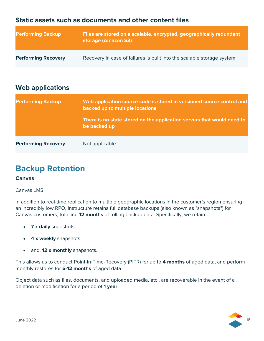#### **Static assets such as documents and other content files**

| <b>Performing Backup</b>   | Files are stored on a scalable, encrypted, geographically redundant<br>storage (Amazon S3) |
|----------------------------|--------------------------------------------------------------------------------------------|
| <b>Performing Recovery</b> | Recovery in case of failures is built into the scalable storage system                     |

#### **Web applications**

| <b>Performing Backup</b>   | Web application source code is stored in versioned source control and<br>backed up to multiple locations<br>There is no state stored on the application servers that would need to<br>be backed up |
|----------------------------|----------------------------------------------------------------------------------------------------------------------------------------------------------------------------------------------------|
| <b>Performing Recovery</b> | Not applicable                                                                                                                                                                                     |

## <span id="page-15-0"></span>**Backup Retention**

#### **Canvas**

Canvas LMS

In addition to real-time replication to multiple geographic locations in the customer's region ensuring an incredibly low RPO, Instructure retains full database backups (also known as "snapshots") for Canvas customers, totalling **12 months** of rolling backup data. Specifically, we retain:

- **7 x daily** snapshots
- **4 x weekly** snapshots
- and, **12 x monthly** snapshots.

This allows us to conduct Point-In-Time-Recovery (PITR) for up to **4 months** of aged data, and perform monthly restores for **5-12 months** of aged data.

Object data such as files, documents, and uploaded media, etc., are recoverable in the event of a deletion or modification for a period of **1 year**.

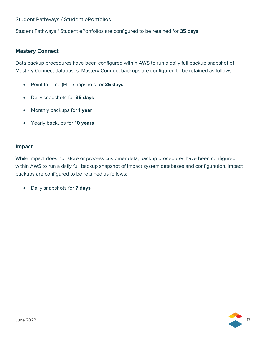#### Student Pathways / Student ePortfolios

Student Pathways / Student ePortfolios are configured to be retained for **35 days**.

#### **Mastery Connect**

Data backup procedures have been configured within AWS to run a daily full backup snapshot of Mastery Connect databases. Mastery Connect backups are configured to be retained as follows:

- Point In Time (PIT) snapshots for **35 days**
- Daily snapshots for **35 days**
- Monthly backups for **1 year**
- Yearly backups for **10 years**

#### **Impact**

While Impact does not store or process customer data, backup procedures have been configured within AWS to run a daily full backup snapshot of Impact system databases and configuration. Impact backups are configured to be retained as follows:

• Daily snapshots for **7 days**

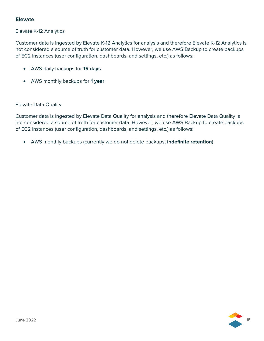#### **Elevate**

#### Elevate K-12 Analytics

Customer data is ingested by Elevate K-12 Analytics for analysis and therefore Elevate K-12 Analytics is not considered a source of truth for customer data. However, we use AWS Backup to create backups of EC2 instances (user configuration, dashboards, and settings, etc.) as follows:

- AWS daily backups for **15 days**
- AWS monthly backups for **1 year**

#### Elevate Data Quality

Customer data is ingested by Elevate Data Quality for analysis and therefore Elevate Data Quality is not considered a source of truth for customer data. However, we use AWS Backup to create backups of EC2 instances (user configuration, dashboards, and settings, etc.) as follows:

• AWS monthly backups (currently we do not delete backups; **indefinite retention**)

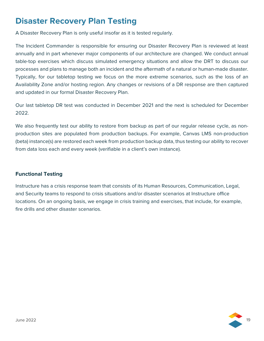## <span id="page-18-0"></span>**Disaster Recovery Plan Testing**

A Disaster Recovery Plan is only useful insofar as it is tested regularly.

The Incident Commander is responsible for ensuring our Disaster Recovery Plan is reviewed at least annually and in part whenever major components of our architecture are changed. We conduct annual table-top exercises which discuss simulated emergency situations and allow the DRT to discuss our processes and plans to manage both an incident and the aftermath of a natural or human-made disaster. Typically, for our tabletop testing we focus on the more extreme scenarios, such as the loss of an Availability Zone and/or hosting region. Any changes or revisions of a DR response are then captured and updated in our formal Disaster Recovery Plan.

Our last tabletop DR test was conducted in December 2021 and the next is scheduled for December 2022.

We also frequently test our ability to restore from backup as part of our reqular release cycle, as nonproduction sites are populated from production backups. For example, Canvas LMS non-production (beta) instance(s) are restored each week from production backup data, thus testing our ability to recover from data loss each and every week (verifiable in a client's own instance).

#### **Functional Testing**

Instructure has a crisis response team that consists of its Human Resources, Communication, Legal, and Security teams to respond to crisis situations and/or disaster scenarios at Instructure office locations. On an ongoing basis, we engage in crisis training and exercises, that include, for example, fire drills and other disaster scenarios.

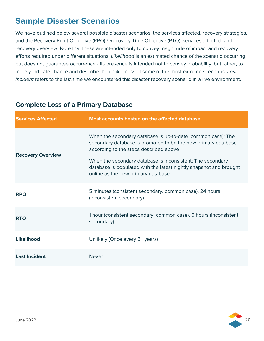## <span id="page-19-0"></span>**Sample Disaster Scenarios**

We have outlined below several possible disaster scenarios, the services affected, recovery strategies, and the Recovery Point Objective (RPO) / Recovery Time Objective (RTO), services affected, and recovery overview. Note that these are intended only to convey magnitude of impact and recovery efforts required under different situations. *Likelihood* is an estimated chance of the scenario occurring but does not guarantee occurrence - its presence is intended not to convey probability, but rather, to merely indicate chance and describe the unlikeliness of some of the most extreme scenarios. *Last Incident* refers to the last time we encountered this disaster recovery scenario in a live environment.

#### **Complete Loss of a Primary Database**

| <b>Services Affected</b> | Most accounts hosted on the affected database                                                                                                                                                                                                                                                                                                      |  |
|--------------------------|----------------------------------------------------------------------------------------------------------------------------------------------------------------------------------------------------------------------------------------------------------------------------------------------------------------------------------------------------|--|
| <b>Recovery Overview</b> | When the secondary database is up-to-date (common case): The<br>secondary database is promoted to be the new primary database<br>according to the steps described above<br>When the secondary database is inconsistent: The secondary<br>database is populated with the latest nightly snapshot and brought<br>online as the new primary database. |  |
| <b>RPO</b>               | 5 minutes (consistent secondary, common case), 24 hours<br>(inconsistent secondary)                                                                                                                                                                                                                                                                |  |
| <b>RTO</b>               | 1 hour (consistent secondary, common case), 6 hours (inconsistent<br>secondary)                                                                                                                                                                                                                                                                    |  |
| <b>Likelihood</b>        | Unlikely (Once every 5+ years)                                                                                                                                                                                                                                                                                                                     |  |
| <b>Last Incident</b>     | <b>Never</b>                                                                                                                                                                                                                                                                                                                                       |  |

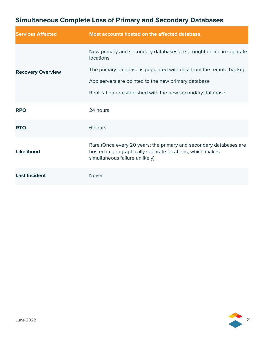## **Simultaneous Complete Loss of Primary and Secondary Databases**

| <b>Services Affected</b> | Most accounts hosted on the affected database.                                                                                                                   |
|--------------------------|------------------------------------------------------------------------------------------------------------------------------------------------------------------|
|                          | New primary and secondary databases are brought online in separate<br><b>locations</b>                                                                           |
| <b>Recovery Overview</b> | The primary database is populated with data from the remote backup                                                                                               |
|                          | App servers are pointed to the new primary database                                                                                                              |
|                          | Replication re-established with the new secondary database                                                                                                       |
| <b>RPO</b>               | 24 hours                                                                                                                                                         |
| <b>RTO</b>               | 6 hours                                                                                                                                                          |
| Likelihood               | Rare (Once every 20 years; the primary and secondary databases are<br>hosted in geographically separate locations, which makes<br>simultaneous failure unlikely) |
| <b>Last Incident</b>     | <b>Never</b>                                                                                                                                                     |

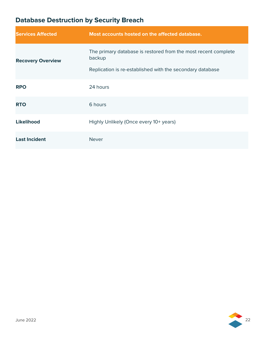## **Database Destruction by Security Breach**

| <b>Services Affected</b> | Most accounts hosted on the affected database.                                                                                        |
|--------------------------|---------------------------------------------------------------------------------------------------------------------------------------|
| <b>Recovery Overview</b> | The primary database is restored from the most recent complete<br>backup<br>Replication is re-established with the secondary database |
| <b>RPO</b>               | 24 hours                                                                                                                              |
| <b>RTO</b>               | 6 hours                                                                                                                               |
| <b>Likelihood</b>        | Highly Unlikely (Once every 10+ years)                                                                                                |
| <b>Last Incident</b>     | <b>Never</b>                                                                                                                          |

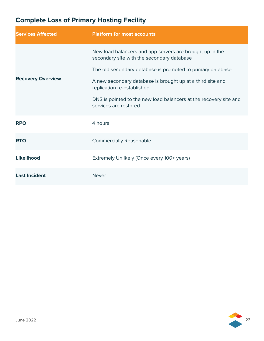## **Complete Loss of Primary Hosting Facility**

| <b>Services Affected</b> | <b>Platform for most accounts</b>                                                                      |
|--------------------------|--------------------------------------------------------------------------------------------------------|
|                          | New load balancers and app servers are brought up in the<br>secondary site with the secondary database |
|                          | The old secondary database is promoted to primary database.                                            |
| <b>Recovery Overview</b> | A new secondary database is brought up at a third site and<br>replication re-established               |
|                          | DNS is pointed to the new load balancers at the recovery site and<br>services are restored             |
| <b>RPO</b>               | 4 hours                                                                                                |
| <b>RTO</b>               | <b>Commercially Reasonable</b>                                                                         |
| <b>Likelihood</b>        | Extremely Unlikely (Once every 100+ years)                                                             |
| <b>Last Incident</b>     | <b>Never</b>                                                                                           |

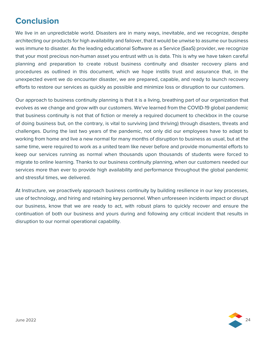## <span id="page-23-0"></span>**Conclusion**

We live in an unpredictable world. Disasters are in many ways, inevitable, and we recognize, despite architecting our products for high availability and failover, that it would be unwise to assume our business was immune to disaster. As the leading educational Software as a Service (SaaS) provider, we recognize that your most precious non-human asset you entrust with us is data. This is why we have taken careful planning and preparation to create robust business continuity and disaster recovery plans and procedures as outlined in this document, which we hope instills trust and assurance that, in the unexpected event we do encounter disaster, we are prepared, capable, and ready to launch recovery efforts to restore our services as quickly as possible and minimize loss or disruption to our customers.

Our approach to business continuity planning is that it is a living, breathing part of our organization that evolves as we change and grow with our customers. We've learned from the COVID-19 global pandemic that business continuity is not that of fiction or merely a required document to checkbox in the course of doing business but, on the contrary, is vital to surviving (and thriving) through disasters, threats and challenges. During the last two years of the pandemic, not only did our employees have to adapt to working from home and live a new normal for many months of disruption to business as usual, but at the same time, were required to work as a united team like never before and provide monumental efforts to keep our services running as normal when thousands upon thousands of students were forced to migrate to online learning. Thanks to our business continuity planning, when our customers needed our services more than ever to provide high availability and performance throughout the global pandemic and stressful times, we delivered.

At Instructure, we proactively approach business continuity by building resilience in our key processes, use of technology, and hiring and retaining key personnel. When unforeseen incidents impact or disrupt our business, know that we are ready to act, with robust plans to quickly recover and ensure the continuation of both our business and yours during and following any critical incident that results in disruption to our normal operational capability.